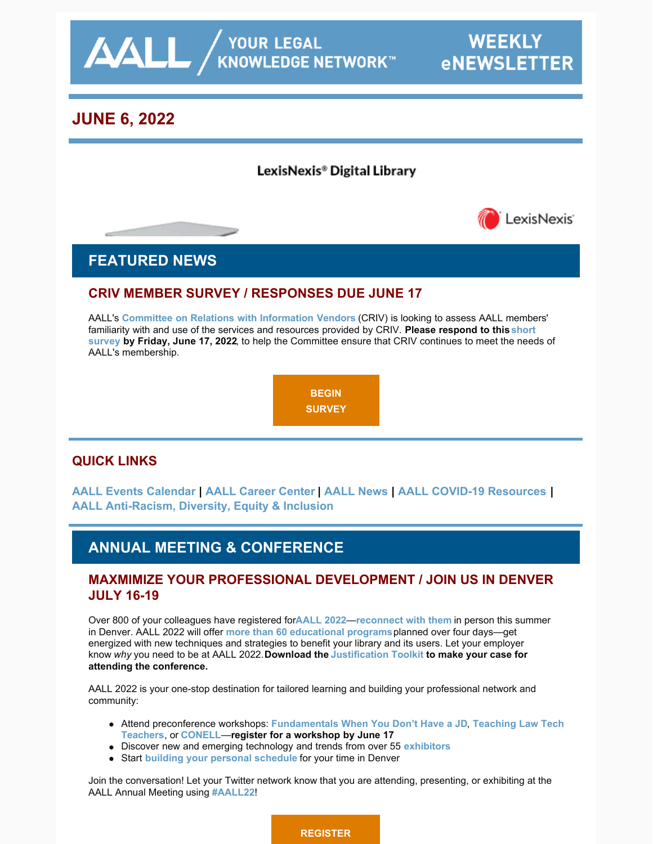

# **JUNE 6, 2022**

### LexisNexis® Digital Library



## **FEATURED NEWS**

### **CRIV MEMBER SURVEY / RESPONSES DUE JUNE 17**

AALL's **[Committee on Relations with Information Vendors](https://www.aallnet.org/about-us/who-we-are/committees-juries/committee-relations-information-vendors-criv/)** (CRIV) is looking to assess AALL members' [familiarity with and use of the services and resources provided by CRIV.](https://iu.co1.qualtrics.com/jfe/form/SV_2lYB9WgAyR3BI6q) **Please respond to this short survey by Friday, June 17, 2022**, to help the Committee ensure that CRIV continues to meet the needs of AALL's membership.



### **QUICK LINKS**

**[AALL Events Calendar](https://www.aallnet.org/forms/MeetingCalendar/) | [AALL Career Center](https://careers.aallnet.org/) | [AALL News](https://www.aallnet.org/about-us/press-room/news/) | [AALL COVID-19 Resources](https://www.aallnet.org/about-us/press-room/coronavirus/) | [AALL Anti-Racism, Diversity, Equity & Inclusion](https://www.aallnet.org/about-us/press-room/anti-racism-diversity-equity-inclusion/)**

## **ANNUAL MEETING & CONFERENCE**

### **MAXMIMIZE YOUR PROFESSIONAL DEVELOPMENT / JOIN US IN DENVER JULY 16-19**

Over 800 of your colleagues have registered for **[AALL 2022](https://www.aallnet.org/conference/)**—**[reconnect with them](https://eventmobi.com/aall2022/people/ef0c5398-586b-427d-b542-c1aa49688886)** in person this summer in Denver. AALL 2022 will offer **[more than 60 educational programs](https://eventmobi.com/aall2022/agenda/a726b21f-5b6b-4478-8355-f5025035fcf1/day/all)** planned over four days—get energized with new techniques and strategies to benefit your library and its users. Let your employer know *why* you need to be at AALL 2022. **Download the [Justification Toolkit](https://www.aallnet.org/conference/wp-content/uploads/sites/18/2022/05/AALL-Annual-Meeting-Justification-Toolkit-FINAL-WEB.pdf) to make your case for attending the conference.**

AALL 2022 is your one-stop destination for tailored learning and building your professional network and community:

- Attend preconference workshops: **[F](https://eventmobi.com/aall2022/agenda/a726b21f-5b6b-4478-8355-f5025035fcf1/session/7ee0ac44-536a-49ab-8e5f-b65575a8102c)[undamentals When You Don't Have a JD](https://eventmobi.com/aall2022/agenda/a726b21f-5b6b-4478-8355-f5025035fcf1/session/dffcb605-8c70-4fed-97a2-d7a6dc09e469)**, **Teaching Law Tech Teachers**, or **[CONELL](https://eventmobi.com/aall2022/agenda/a726b21f-5b6b-4478-8355-f5025035fcf1/session/09648086-796c-4b3e-b5a1-3fcd5d7936e0)**—**register for a workshop by June 17**
- Discover new and emerging technology and trends from over 55 **[exhibitors](https://eventmobi.com/aall2022/companies/05062b8e-7851-4f1a-a344-971a35ae2dd6)**
- Start **[building your personal schedule](https://eventmobi.com/aall2022/)** for your time in Denver

Join the conversation! Let your Twitter network know that you are attending, presenting, or exhibiting at the AALL Annual Meeting using **[#AALL22](https://twitter.com/search?q=AALL22&src=typed_query&f=live)**!

**[REGISTER](https://aallconference.org/registration/)**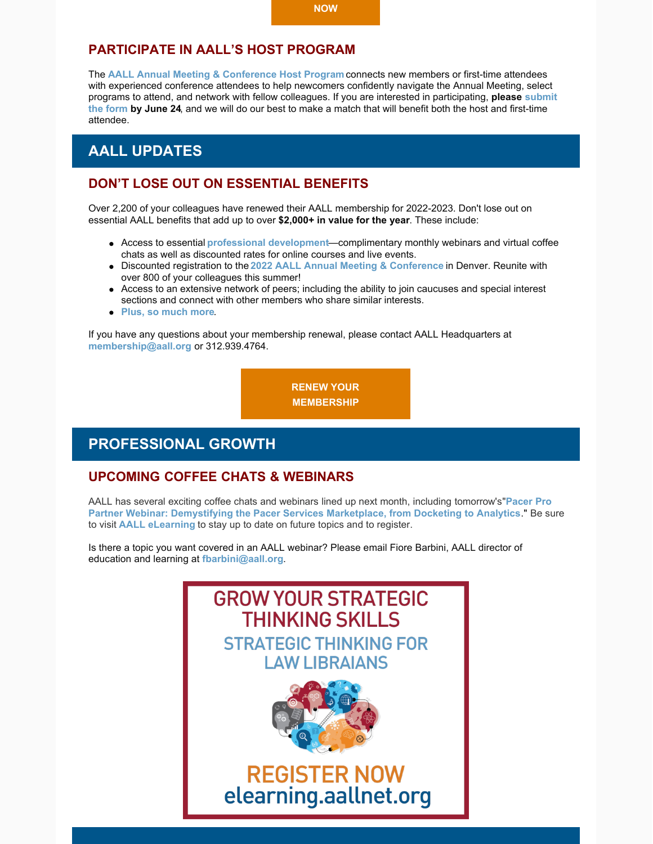### **PARTICIPATE IN AALL'S HOST PROGRAM**

The **[AALL Annual Meeting & Conference Host Program](https://www.aallnet.org/conference/resources/host-program/)** connects new members or first-time attendees with experienced conference attendees to help newcomers confidently navigate the Annual Meeting, select [programs to attend, and network with fellow colleagues. If you are interested in participating,](https://www.aallnet.org/conference/resources/host-program/) **please submit the form by June 24**, and we will do our best to make a match that will benefit both the host and first-time attendee.

### **AALL UPDATES**

#### **DON'T LOSE OUT ON ESSENTIAL BENEFITS**

Over 2,200 of your colleagues have renewed their AALL membership for 2022-2023. Don't lose out on essential AALL benefits that add up to over **\$2,000+ in value for the year**. These include:

- Access to essential **[professional development](https://elearning.aallnet.org/)**—complimentary monthly webinars and virtual coffee chats as well as discounted rates for online courses and live events.
- Discounted registration to the **[2022 AALL Annual Meeting & Conference](https://www.aallnet.org/conference/)** in Denver. Reunite with over 800 of your colleagues this summer!
- Access to an extensive network of peers; including the ability to join caucuses and special interest sections and connect with other members who share similar interests.
- **[Plus, so much more](https://www.aallnet.org/community/membership/benefits/)**.

If you have any questions about your membership renewal, please contact AALL Headquarters at **[membership@aall.org](mailto:membership@aall.org)** or 312.939.4764.

> **[RENEW YOUR](https://www.aallnet.org/community/membership/join-renew/) MEMBERSHIP**

### **PROFESSIONAL GROWTH**

#### **UPCOMING COFFEE CHATS & WEBINARS**

[AALL has several exciting coffee chats and webinars lined up next month, including tomorrow's](https://elearning.aallnet.org/products/demystifying-the-pacer-services-marketplace-from-docketing-to-analytics-pacer-partner-webinar)"**Pacer Pro Partner Webinar: Demystifying the Pacer Services Marketplace, from Docketing to Analytics**." Be sure to visit **[AALL eLearning](https://elearning.aallnet.org/live)** to stay up to date on future topics and to register.

Is there a topic you want covered in an AALL webinar? Please email Fiore Barbini, AALL director of education and learning at **[fbarbini@aall.org](mailto:fbarbini@aall.org)**.